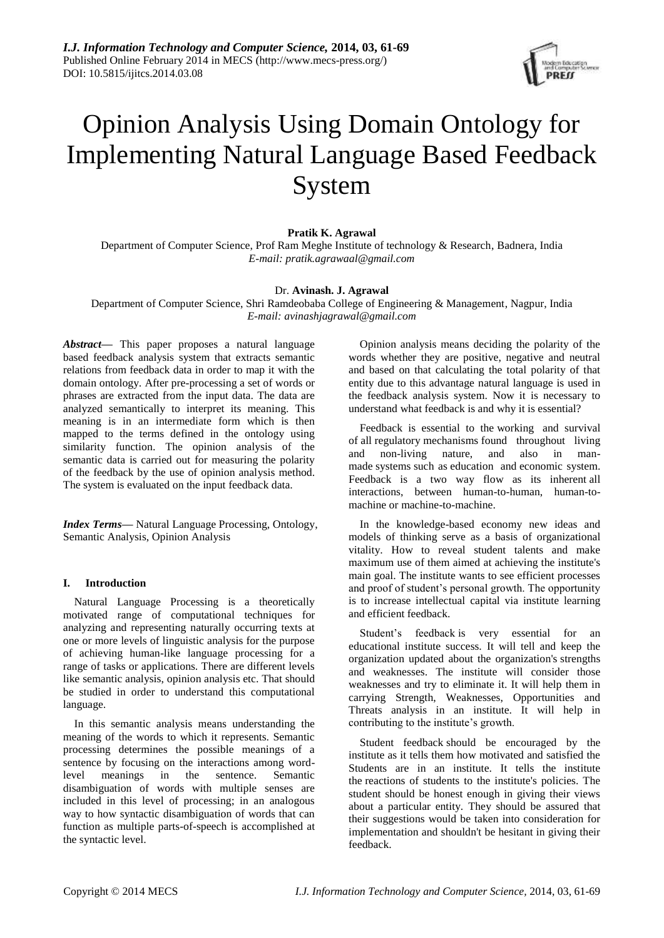

# Opinion Analysis Using Domain Ontology for Implementing Natural Language Based Feedback System

# **Pratik K. Agrawal**

Department of Computer Science, Prof Ram Meghe Institute of technology & Research, Badnera, India *E-mail: pratik.agrawaal@gmail.com*

## Dr. **Avinash. J. Agrawal**

Department of Computer Science, Shri Ramdeobaba College of Engineering & Management, Nagpur, India *E-mail: [avinashjagrawal@gmail.com](mailto:avinashjagrawal@gmail.com)*

*Abstract***—** This paper proposes a natural language based feedback analysis system that extracts semantic relations from feedback data in order to map it with the domain ontology. After pre-processing a set of words or phrases are extracted from the input data. The data are analyzed semantically to interpret its meaning. This meaning is in an intermediate form which is then mapped to the terms defined in the ontology using similarity function. The opinion analysis of the semantic data is carried out for measuring the polarity of the feedback by the use of opinion analysis method. The system is evaluated on the input feedback data.

*Index Terms***—** Natural Language Processing, Ontology, Semantic Analysis, Opinion Analysis

## **I. Introduction**

Natural Language Processing is a theoretically motivated range of computational techniques for analyzing and representing naturally occurring texts at one or more levels of linguistic analysis for the purpose of achieving human-like language processing for a range of tasks or applications. There are different levels like semantic analysis, opinion analysis etc. That should be studied in order to understand this computational language.

In this semantic analysis means understanding the meaning of the words to which it represents. Semantic processing determines the possible meanings of a sentence by focusing on the interactions among wordlevel meanings in the sentence. Semantic disambiguation of words with multiple senses are included in this level of processing; in an analogous way to how syntactic disambiguation of words that can function as multiple parts-of-speech is accomplished at the syntactic level.

Opinion analysis means deciding the polarity of the words whether they are positive, negative and neutral and based on that calculating the total polarity of that entity due to this advantage natural language is used in the feedback analysis system. Now it is necessary to understand what feedback is and why it is essential?

Feedback is essential to the [working](http://www.businessdictionary.com/definition/worker.html) and survival of [all](http://www.investorwords.com/6221/all.html) regulatory [mechanisms](http://www.businessdictionary.com/definition/mechanism.html) found throughout living and non-living nature, and also in manmade [systems](http://www.businessdictionary.com/definition/system.html) such as [education](http://www.businessdictionary.com/definition/education.html) and [economic](http://www.businessdictionary.com/definition/economy.html) system. Feedback is a two way flow as its [inherent](http://www.businessdictionary.com/definition/inherent.html) all interactions, between human-to-human, human-tomachine or machine-to-machine.

In the knowledge-based economy new ideas and models of thinking serve as a basis of organizational vitality. How to reveal student talents and make maximum use of them aimed at achieving the institute's main goal. The institute wants to see efficient processes and proof of student's personal growth. The opportunity is to increase intellectual capital via institute learning and efficient feedback.

Student's feedback is very essential for an educational institute success. It will tell and keep the organization updated about the organization's strengths and weaknesses. The institute will consider those weaknesses and try to eliminate it. It will help them in carrying Strength, Weaknesses, Opportunities and Threats analysis in an institute. It will help in contributing to the institute's growth.

Student feedback should be encouraged by the institute as it tells them how motivated and satisfied the Students are in an institute. It tells the institute the reactions of students to the institute's policies. The student should be honest enough in giving their views about a particular entity. They should be assured that their suggestions would be taken into consideration for implementation and shouldn't be hesitant in giving their feedback.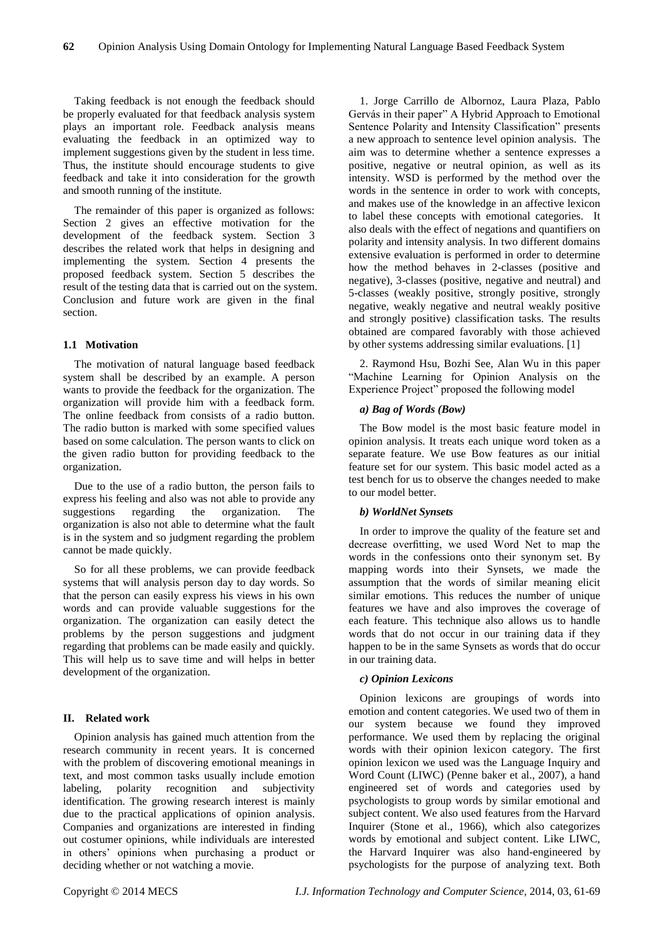Taking feedback is not enough the feedback should be properly evaluated for that feedback analysis system plays an important role. Feedback analysis means evaluating the feedback in an optimized way to implement suggestions given by the student in less time. Thus, the institute should encourage students to give feedback and take it into consideration for the growth and smooth running of the institute.

The remainder of this paper is organized as follows: Section 2 gives an effective motivation for the development of the feedback system. Section 3 describes the related work that helps in designing and implementing the system. Section 4 presents the proposed feedback system. Section 5 describes the result of the testing data that is carried out on the system. Conclusion and future work are given in the final section.

#### **1.1 Motivation**

The motivation of natural language based feedback system shall be described by an example. A person wants to provide the feedback for the organization. The organization will provide him with a feedback form. The online feedback from consists of a radio button. The radio button is marked with some specified values based on some calculation. The person wants to click on the given radio button for providing feedback to the organization.

Due to the use of a radio button, the person fails to express his feeling and also was not able to provide any suggestions regarding the organization. The organization is also not able to determine what the fault is in the system and so judgment regarding the problem cannot be made quickly.

So for all these problems, we can provide feedback systems that will analysis person day to day words. So that the person can easily express his views in his own words and can provide valuable suggestions for the organization. The organization can easily detect the problems by the person suggestions and judgment regarding that problems can be made easily and quickly. This will help us to save time and will helps in better development of the organization.

#### **II. Related work**

Opinion analysis has gained much attention from the research community in recent years. It is concerned with the problem of discovering emotional meanings in text, and most common tasks usually include emotion labeling, polarity recognition and subjectivity identification. The growing research interest is mainly due to the practical applications of opinion analysis. Companies and organizations are interested in finding out costumer opinions, while individuals are interested in others' opinions when purchasing a product or deciding whether or not watching a movie.

1. Jorge Carrillo de Albornoz, Laura Plaza, Pablo Gervás in their paper" A Hybrid Approach to Emotional Sentence Polarity and Intensity Classification" presents a new approach to sentence level opinion analysis. The aim was to determine whether a sentence expresses a positive, negative or neutral opinion, as well as its intensity. WSD is performed by the method over the words in the sentence in order to work with concepts, and makes use of the knowledge in an affective lexicon to label these concepts with emotional categories. It also deals with the effect of negations and quantifiers on polarity and intensity analysis. In two different domains extensive evaluation is performed in order to determine how the method behaves in 2-classes (positive and negative), 3-classes (positive, negative and neutral) and 5-classes (weakly positive, strongly positive, strongly negative, weakly negative and neutral weakly positive and strongly positive) classification tasks. The results obtained are compared favorably with those achieved by other systems addressing similar evaluations. [1]

2. Raymond Hsu, Bozhi See, Alan Wu in this paper "Machine Learning for Opinion Analysis on the Experience Project" proposed the following model

## *a) Bag of Words (Bow)*

The Bow model is the most basic feature model in opinion analysis. It treats each unique word token as a separate feature. We use Bow features as our initial feature set for our system. This basic model acted as a test bench for us to observe the changes needed to make to our model better.

## *b) WorldNet Synsets*

In order to improve the quality of the feature set and decrease overfitting, we used Word Net to map the words in the confessions onto their synonym set. By mapping words into their Synsets, we made the assumption that the words of similar meaning elicit similar emotions. This reduces the number of unique features we have and also improves the coverage of each feature. This technique also allows us to handle words that do not occur in our training data if they happen to be in the same Synsets as words that do occur in our training data.

#### *c) Opinion Lexicons*

Opinion lexicons are groupings of words into emotion and content categories. We used two of them in our system because we found they improved performance. We used them by replacing the original words with their opinion lexicon category. The first opinion lexicon we used was the Language Inquiry and Word Count (LIWC) (Penne baker et al., 2007), a hand engineered set of words and categories used by psychologists to group words by similar emotional and subject content. We also used features from the Harvard Inquirer (Stone et al., 1966), which also categorizes words by emotional and subject content. Like LIWC, the Harvard Inquirer was also hand-engineered by psychologists for the purpose of analyzing text. Both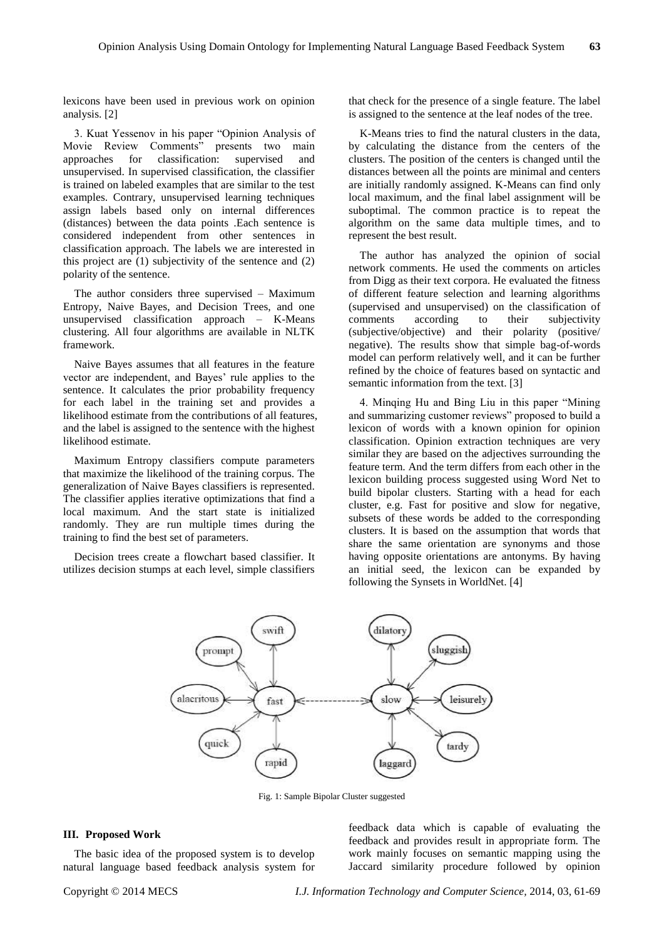lexicons have been used in previous work on opinion analysis. [2]

3. Kuat Yessenov in his paper "Opinion Analysis of Movie Review Comments" presents two main approaches for classification: supervised and unsupervised. In supervised classification, the classifier is trained on labeled examples that are similar to the test examples. Contrary, unsupervised learning techniques assign labels based only on internal differences (distances) between the data points .Each sentence is considered independent from other sentences in classification approach. The labels we are interested in this project are (1) subjectivity of the sentence and (2) polarity of the sentence.

The author considers three supervised – Maximum Entropy, Naive Bayes, and Decision Trees, and one unsupervised classification approach – K-Means clustering. All four algorithms are available in NLTK framework.

Naive Bayes assumes that all features in the feature vector are independent, and Bayes' rule applies to the sentence. It calculates the prior probability frequency for each label in the training set and provides a likelihood estimate from the contributions of all features, and the label is assigned to the sentence with the highest likelihood estimate.

Maximum Entropy classifiers compute parameters that maximize the likelihood of the training corpus. The generalization of Naive Bayes classifiers is represented. The classifier applies iterative optimizations that find a local maximum. And the start state is initialized randomly. They are run multiple times during the training to find the best set of parameters.

Decision trees create a flowchart based classifier. It utilizes decision stumps at each level, simple classifiers

that check for the presence of a single feature. The label is assigned to the sentence at the leaf nodes of the tree.

K-Means tries to find the natural clusters in the data, by calculating the distance from the centers of the clusters. The position of the centers is changed until the distances between all the points are minimal and centers are initially randomly assigned. K-Means can find only local maximum, and the final label assignment will be suboptimal. The common practice is to repeat the algorithm on the same data multiple times, and to represent the best result.

The author has analyzed the opinion of social network comments. He used the comments on articles from Digg as their text corpora. He evaluated the fitness of different feature selection and learning algorithms (supervised and unsupervised) on the classification of comments according to their subjectivity (subjective/objective) and their polarity (positive/ negative). The results show that simple bag-of-words model can perform relatively well, and it can be further refined by the choice of features based on syntactic and semantic information from the text. [3]

4. Minqing Hu and Bing Liu in this paper "Mining and summarizing customer reviews" proposed to build a lexicon of words with a known opinion for opinion classification. Opinion extraction techniques are very similar they are based on the adjectives surrounding the feature term. And the term differs from each other in the lexicon building process suggested using Word Net to build bipolar clusters. Starting with a head for each cluster, e.g. Fast for positive and slow for negative, subsets of these words be added to the corresponding clusters. It is based on the assumption that words that share the same orientation are synonyms and those having opposite orientations are antonyms. By having an initial seed, the lexicon can be expanded by following the Synsets in WorldNet. [4]



Fig. 1: Sample Bipolar Cluster suggested

## **III. Proposed Work**

The basic idea of the proposed system is to develop natural language based feedback analysis system for

feedback data which is capable of evaluating the feedback and provides result in appropriate form. The work mainly focuses on semantic mapping using the Jaccard similarity procedure followed by opinion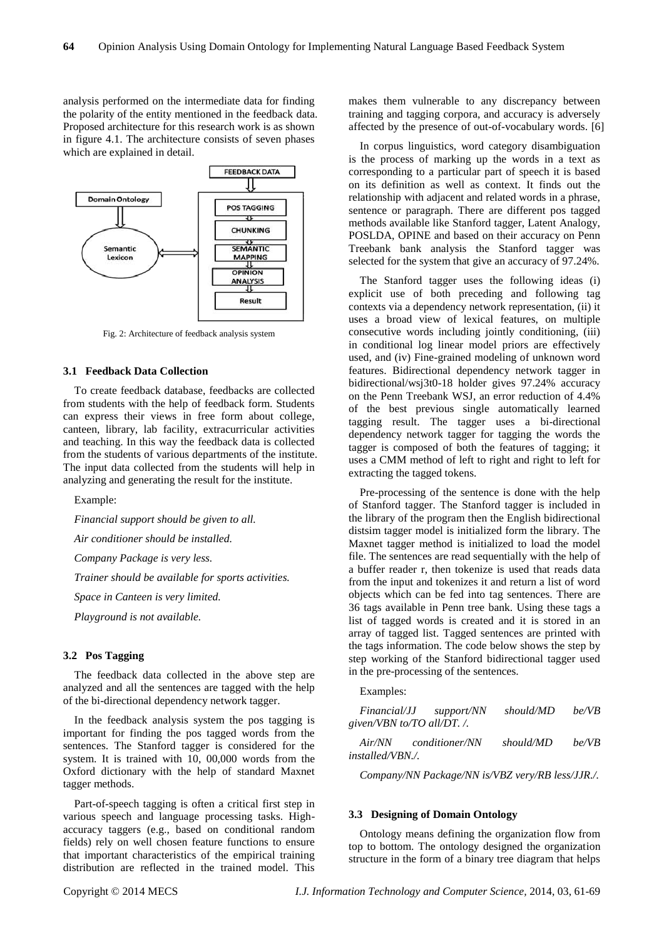analysis performed on the intermediate data for finding the polarity of the entity mentioned in the feedback data. Proposed architecture for this research work is as shown in figure 4.1. The architecture consists of seven phases which are explained in detail.



Fig. 2: Architecture of feedback analysis system

#### **3.1 Feedback Data Collection**

To create feedback database, feedbacks are collected from students with the help of feedback form. Students can express their views in free form about college, canteen, library, lab facility, extracurricular activities and teaching. In this way the feedback data is collected from the students of various departments of the institute. The input data collected from the students will help in analyzing and generating the result for the institute.

Example:

*Financial support should be given to all.*

*Air conditioner should be installed.*

*Company Package is very less.*

*Trainer should be available for sports activities.*

*Space in Canteen is very limited.*

*Playground is not available.*

## **3.2 Pos Tagging**

The feedback data collected in the above step are analyzed and all the sentences are tagged with the help of the bi-directional dependency network tagger.

In the feedback analysis system the pos tagging is important for finding the pos tagged words from the sentences. The Stanford tagger is considered for the system. It is trained with 10, 00,000 words from the Oxford dictionary with the help of standard Maxnet tagger methods.

Part-of-speech tagging is often a critical first step in various speech and language processing tasks. Highaccuracy taggers (e.g., based on conditional random fields) rely on well chosen feature functions to ensure that important characteristics of the empirical training distribution are reflected in the trained model. This

makes them vulnerable to any discrepancy between training and tagging corpora, and accuracy is adversely affected by the presence of out-of-vocabulary words. [6]

In corpus linguistics, word category disambiguation is the process of marking up the words in a text as corresponding to a particular part of speech it is based on its definition as well as context. It finds out the relationship with adjacent and related words in a phrase, sentence or paragraph. There are different pos tagged methods available like Stanford tagger, Latent Analogy, POSLDA, OPINE and based on their accuracy on Penn Treebank bank analysis the Stanford tagger was selected for the system that give an accuracy of 97.24%.

The Stanford tagger uses the following ideas (i) explicit use of both preceding and following tag contexts via a dependency network representation, (ii) it uses a broad view of lexical features, on multiple consecutive words including jointly conditioning, (iii) in conditional log linear model priors are effectively used, and (iv) Fine-grained modeling of unknown word features. Bidirectional dependency network tagger in bidirectional/wsj3t0-18 holder gives 97.24% accuracy on the Penn Treebank WSJ, an error reduction of 4.4% of the best previous single automatically learned tagging result. The tagger uses a bi-directional dependency network tagger for tagging the words the tagger is composed of both the features of tagging; it uses a CMM method of left to right and right to left for extracting the tagged tokens.

Pre-processing of the sentence is done with the help of Stanford tagger. The Stanford tagger is included in the library of the program then the English bidirectional distsim tagger model is initialized form the library. The Maxnet tagger method is initialized to load the model file. The sentences are read sequentially with the help of a buffer reader r, then tokenize is used that reads data from the input and tokenizes it and return a list of word objects which can be fed into tag sentences. There are 36 tags available in Penn tree bank. Using these tags a list of tagged words is created and it is stored in an array of tagged list. Tagged sentences are printed with the tags information. The code below shows the step by step working of the Stanford bidirectional tagger used in the pre-processing of the sentences.

#### Examples:

*Financial/JJ support/NN should/MD be/VB given/VBN to/TO all/DT. /.*

*Air/NN conditioner/NN should/MD be/VB installed/VBN./.*

*Company/NN Package/NN is/VBZ very/RB less/JJR./.*

#### **3.3 Designing of Domain Ontology**

Ontology means defining the organization flow from top to bottom. The ontology designed the organization structure in the form of a binary tree diagram that helps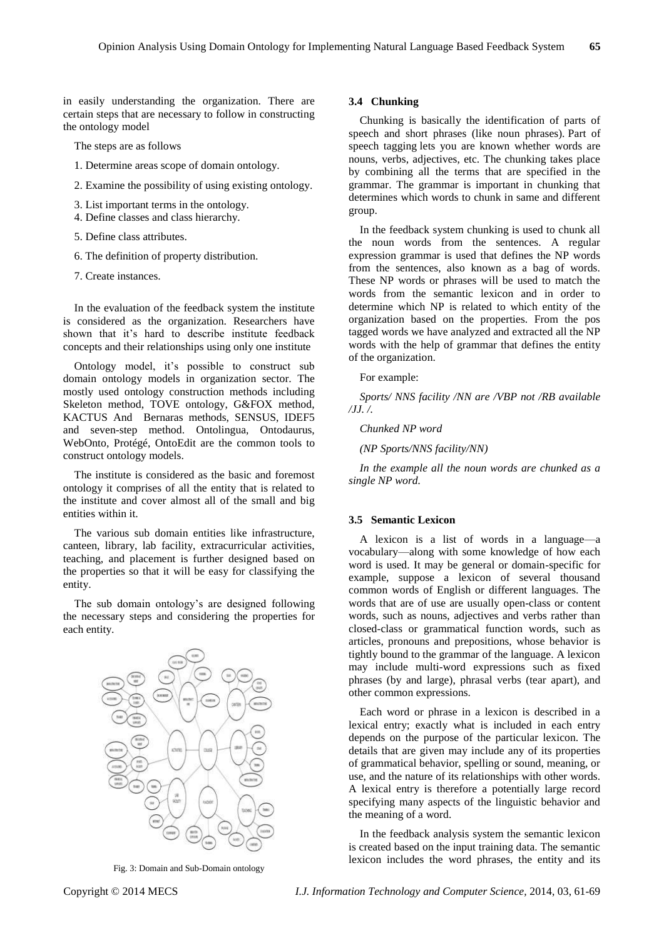in easily understanding the organization. There are certain steps that are necessary to follow in constructing the ontology model

The steps are as follows

- 1. Determine areas scope of domain ontology.
- 2. Examine the possibility of using existing ontology.
- 3. List important terms in the ontology.
- 4. Define classes and class hierarchy.
- 5. Define class attributes.
- 6. The definition of property distribution.
- 7. Create instances.

In the evaluation of the feedback system the institute is considered as the organization. Researchers have shown that it's hard to describe institute feedback concepts and their relationships using only one institute

Ontology model, it's possible to construct sub domain ontology models in organization sector. The mostly used ontology construction methods including Skeleton method, TOVE ontology, G&FOX method, KACTUS And Bernaras methods, SENSUS, IDEF5 and seven-step method. Ontolingua, Ontodaurus, WebOnto, Protégé, OntoEdit are the common tools to construct ontology models.

The institute is considered as the basic and foremost ontology it comprises of all the entity that is related to the institute and cover almost all of the small and big entities within it.

The various sub domain entities like infrastructure, canteen, library, lab facility, extracurricular activities, teaching, and placement is further designed based on the properties so that it will be easy for classifying the entity.

The sub domain ontology's are designed following the necessary steps and considering the properties for each entity.



Fig. 3: Domain and Sub-Domain ontology

## **3.4 Chunking**

Chunking is basically the identification of parts of speech and short phrases (like noun phrases). Part of speech tagging lets you are known whether words are nouns, verbs, adjectives, etc. The chunking takes place by combining all the terms that are specified in the grammar. The grammar is important in chunking that determines which words to chunk in same and different group.

In the feedback system chunking is used to chunk all the noun words from the sentences. A regular expression grammar is used that defines the NP words from the sentences, also known as a bag of words. These NP words or phrases will be used to match the words from the semantic lexicon and in order to determine which NP is related to which entity of the organization based on the properties. From the pos tagged words we have analyzed and extracted all the NP words with the help of grammar that defines the entity of the organization.

For example:

*Sports/ NNS facility /NN are /VBP not /RB available /JJ. /.*

*Chunked NP word*

*(NP Sports/NNS facility/NN)*

*In the example all the noun words are chunked as a single NP word.*

## **3.5 Semantic Lexicon**

A lexicon is a list of words in a language—a vocabulary—along with some knowledge of how each word is used. It may be general or domain-specific for example, suppose a lexicon of several thousand common words of English or different languages. The words that are of use are usually open-class or content words, such as nouns, adjectives and verbs rather than closed-class or grammatical function words, such as articles, pronouns and prepositions, whose behavior is tightly bound to the grammar of the language. A lexicon may include multi-word expressions such as fixed phrases (by and large), phrasal verbs (tear apart), and other common expressions.

Each word or phrase in a lexicon is described in a lexical entry; exactly what is included in each entry depends on the purpose of the particular lexicon. The details that are given may include any of its properties of grammatical behavior, spelling or sound, meaning, or use, and the nature of its relationships with other words. A lexical entry is therefore a potentially large record specifying many aspects of the linguistic behavior and the meaning of a word.

In the feedback analysis system the semantic lexicon is created based on the input training data. The semantic lexicon includes the word phrases, the entity and its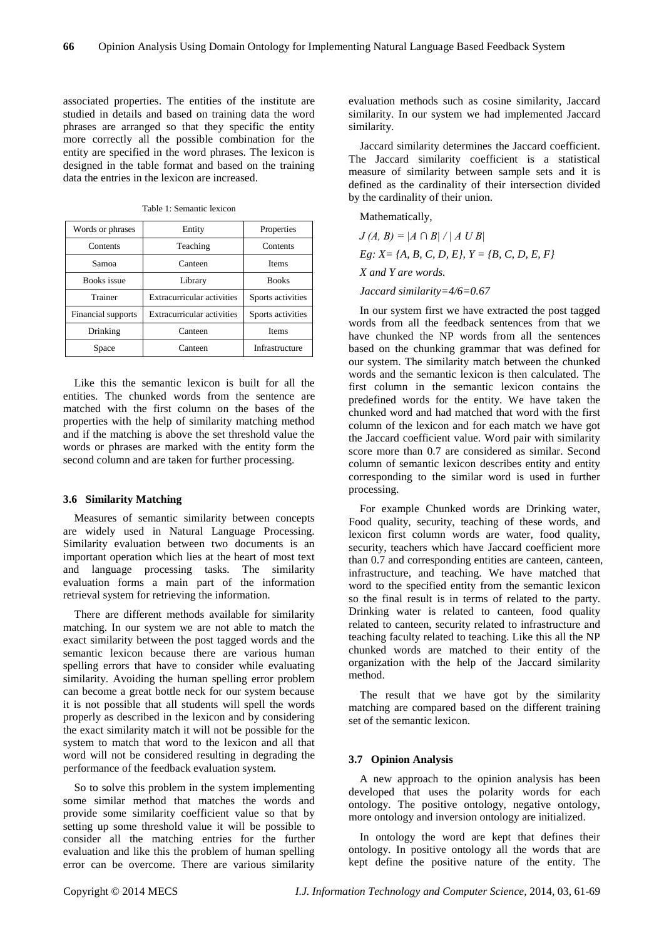associated properties. The entities of the institute are studied in details and based on training data the word phrases are arranged so that they specific the entity more correctly all the possible combination for the entity are specified in the word phrases. The lexicon is designed in the table format and based on the training data the entries in the lexicon are increased.

| Words or phrases   | Entity                            | Properties        |
|--------------------|-----------------------------------|-------------------|
| Contents           | Teaching                          | Contents          |
| Samoa              | Canteen                           | <b>Items</b>      |
| <b>Books</b> issue | Library                           | <b>Books</b>      |
| Trainer            | <b>Extracurricular activities</b> | Sports activities |
| Financial supports | <b>Extracurricular activities</b> | Sports activities |
| Drinking           | Canteen                           | Items             |
| Space              | Canteen                           | Infrastructure    |

Table 1: Semantic lexicon

Like this the semantic lexicon is built for all the entities. The chunked words from the sentence are matched with the first column on the bases of the properties with the help of similarity matching method and if the matching is above the set threshold value the words or phrases are marked with the entity form the second column and are taken for further processing.

#### **3.6 Similarity Matching**

Measures of semantic similarity between concepts are widely used in Natural Language Processing. Similarity evaluation between two documents is an important operation which lies at the heart of most text and language processing tasks. The similarity evaluation forms a main part of the information retrieval system for retrieving the information.

There are different methods available for similarity matching. In our system we are not able to match the exact similarity between the post tagged words and the semantic lexicon because there are various human spelling errors that have to consider while evaluating similarity. Avoiding the human spelling error problem can become a great bottle neck for our system because it is not possible that all students will spell the words properly as described in the lexicon and by considering the exact similarity match it will not be possible for the system to match that word to the lexicon and all that word will not be considered resulting in degrading the performance of the feedback evaluation system.

So to solve this problem in the system implementing some similar method that matches the words and provide some similarity coefficient value so that by setting up some threshold value it will be possible to consider all the matching entries for the further evaluation and like this the problem of human spelling error can be overcome. There are various similarity evaluation methods such as cosine similarity, Jaccard similarity. In our system we had implemented Jaccard similarity.

Jaccard similarity determines the Jaccard coefficient. The Jaccard similarity coefficient is a statistical measure of similarity between sample sets and it is defined as the cardinality of their intersection divided by the cardinality of their union.

Mathematically,

 $J(A, B) = |A \cap B| / |A \cup B|$ *Eg: X= {A, B, C, D, E}, Y = {B, C, D, E, F} X and Y are words.* 

*Jaccard similarity=4/6=0.67*

In our system first we have extracted the post tagged words from all the feedback sentences from that we have chunked the NP words from all the sentences based on the chunking grammar that was defined for our system. The similarity match between the chunked words and the semantic lexicon is then calculated. The first column in the semantic lexicon contains the predefined words for the entity. We have taken the chunked word and had matched that word with the first column of the lexicon and for each match we have got the Jaccard coefficient value. Word pair with similarity score more than 0.7 are considered as similar. Second column of semantic lexicon describes entity and entity corresponding to the similar word is used in further processing.

For example Chunked words are Drinking water, Food quality, security, teaching of these words, and lexicon first column words are water, food quality, security, teachers which have Jaccard coefficient more than 0.7 and corresponding entities are canteen, canteen, infrastructure, and teaching. We have matched that word to the specified entity from the semantic lexicon so the final result is in terms of related to the party. Drinking water is related to canteen, food quality related to canteen, security related to infrastructure and teaching faculty related to teaching. Like this all the NP chunked words are matched to their entity of the organization with the help of the Jaccard similarity method.

The result that we have got by the similarity matching are compared based on the different training set of the semantic lexicon.

#### **3.7 Opinion Analysis**

A new approach to the opinion analysis has been developed that uses the polarity words for each ontology. The positive ontology, negative ontology, more ontology and inversion ontology are initialized.

In ontology the word are kept that defines their ontology. In positive ontology all the words that are kept define the positive nature of the entity. The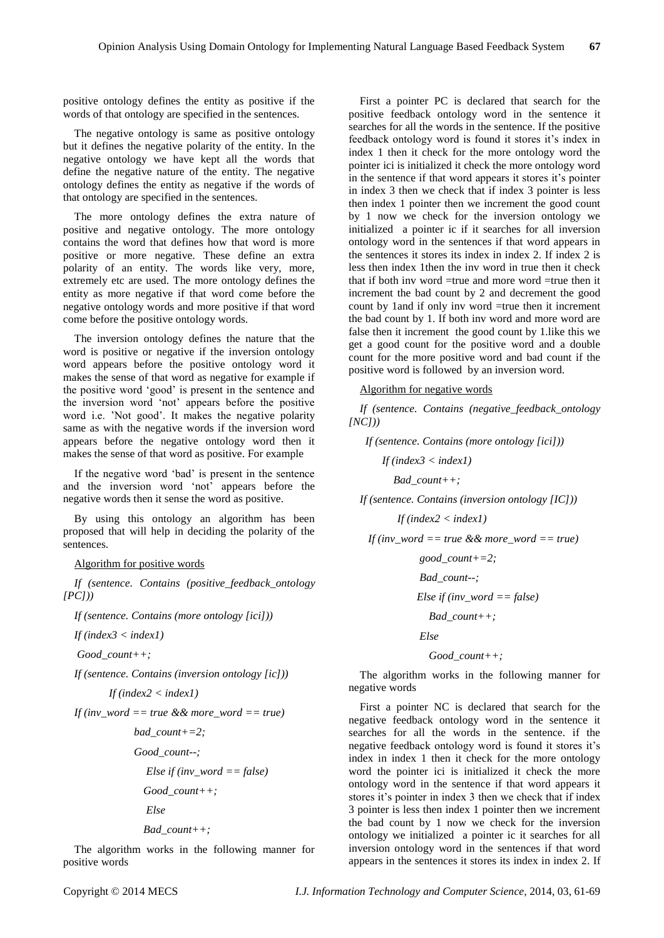positive ontology defines the entity as positive if the words of that ontology are specified in the sentences.

The negative ontology is same as positive ontology but it defines the negative polarity of the entity. In the negative ontology we have kept all the words that define the negative nature of the entity. The negative ontology defines the entity as negative if the words of that ontology are specified in the sentences.

The more ontology defines the extra nature of positive and negative ontology. The more ontology contains the word that defines how that word is more positive or more negative. These define an extra polarity of an entity. The words like very, more, extremely etc are used. The more ontology defines the entity as more negative if that word come before the negative ontology words and more positive if that word come before the positive ontology words.

The inversion ontology defines the nature that the word is positive or negative if the inversion ontology word appears before the positive ontology word it makes the sense of that word as negative for example if the positive word 'good' is present in the sentence and the inversion word 'not' appears before the positive word i.e. 'Not good'. It makes the negative polarity same as with the negative words if the inversion word appears before the negative ontology word then it makes the sense of that word as positive. For example

If the negative word 'bad' is present in the sentence and the inversion word 'not' appears before the negative words then it sense the word as positive.

By using this ontology an algorithm has been proposed that will help in deciding the polarity of the sentences.

## Algorithm for positive words

*If (sentence. Contains (positive\_feedback\_ontology [PC]))*

*If (sentence. Contains (more ontology [ici]))*

*If (index3 < index1)*

*Good\_count++;*

*If (sentence. Contains (inversion ontology [ic]))*

$$
If (index 2 < index 1)
$$

*If (inv\_word == true && more\_word == true)*

 *bad\_count+=2;*

 *Good\_count--;*

$$
Else if (inv\_word == false)
$$

*Good\_count++;*

 *Else*

*Bad\_count++;*

The algorithm works in the following manner for positive words

First a pointer PC is declared that search for the positive feedback ontology word in the sentence it searches for all the words in the sentence. If the positive feedback ontology word is found it stores it's index in index 1 then it check for the more ontology word the pointer ici is initialized it check the more ontology word in the sentence if that word appears it stores it's pointer in index 3 then we check that if index 3 pointer is less then index 1 pointer then we increment the good count by 1 now we check for the inversion ontology we initialized a pointer ic if it searches for all inversion ontology word in the sentences if that word appears in the sentences it stores its index in index 2. If index 2 is less then index 1then the inv word in true then it check that if both inv word =true and more word =true then it increment the bad count by 2 and decrement the good count by 1and if only inv word =true then it increment the bad count by 1. If both inv word and more word are false then it increment the good count by 1.like this we get a good count for the positive word and a double count for the more positive word and bad count if the positive word is followed by an inversion word.

#### Algorithm for negative words

*If (sentence. Contains (negative\_feedback\_ontology [NC]))*

 *If (sentence. Contains (more ontology [ici]))*

 *If (index3 < index1)*

 *Bad\_count++;*

*If (sentence. Contains (inversion ontology [IC]))*

 *If (index2 < index1)*

 *If (inv\_word == true && more\_word == true)*

 *good\_count+=2;*

 *Bad\_count--;*

 *Else if (inv\_word == false)*

*Bad\_count++;*

 *Else*

$$
Good\_count++;
$$

The algorithm works in the following manner for negative words

First a pointer NC is declared that search for the negative feedback ontology word in the sentence it searches for all the words in the sentence. if the negative feedback ontology word is found it stores it's index in index 1 then it check for the more ontology word the pointer ici is initialized it check the more ontology word in the sentence if that word appears it stores it's pointer in index 3 then we check that if index 3 pointer is less then index 1 pointer then we increment the bad count by 1 now we check for the inversion ontology we initialized a pointer ic it searches for all inversion ontology word in the sentences if that word appears in the sentences it stores its index in index 2. If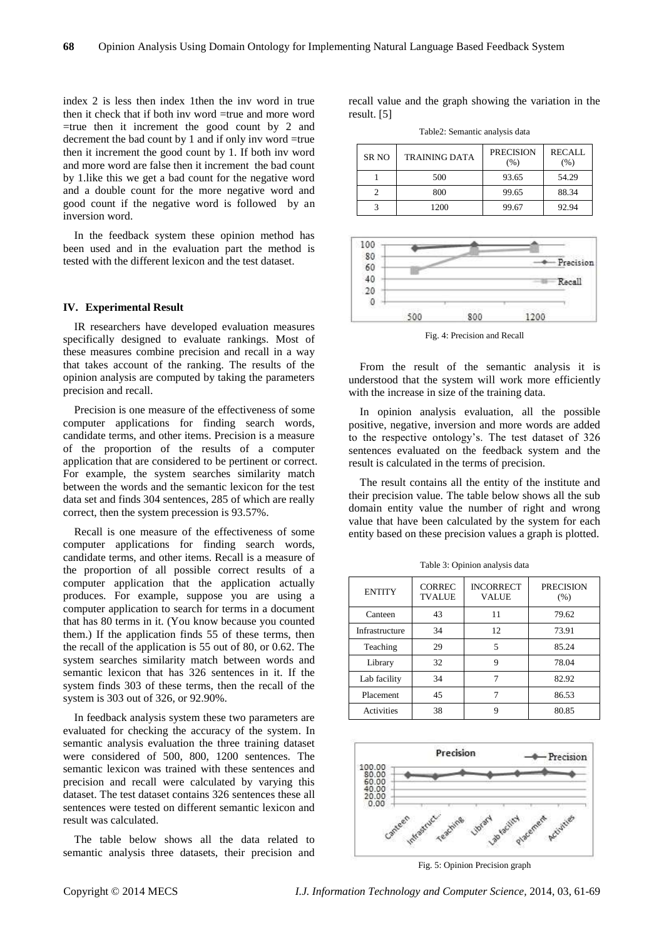index 2 is less then index 1then the inv word in true then it check that if both inv word =true and more word =true then it increment the good count by 2 and decrement the bad count by 1 and if only inv word =true then it increment the good count by 1. If both inv word and more word are false then it increment the bad count by 1.like this we get a bad count for the negative word and a double count for the more negative word and good count if the negative word is followed by an inversion word.

In the feedback system these opinion method has been used and in the evaluation part the method is tested with the different lexicon and the test dataset.

#### **IV. Experimental Result**

IR researchers have developed evaluation measures specifically designed to evaluate rankings. Most of these measures combine precision and recall in a way that takes account of the ranking. The results of the opinion analysis are computed by taking the parameters precision and recall.

Precision is one measure of the effectiveness of some computer applications for finding search words, candidate terms, and other items. Precision is a measure of the proportion of the results of a computer application that are considered to be pertinent or correct. For example, the system searches similarity match between the words and the semantic lexicon for the test data set and finds 304 sentences, 285 of which are really correct, then the system precession is 93.57%.

Recall is one measure of the effectiveness of some computer applications for finding search words, candidate terms, and other items. Recall is a measure of the proportion of all possible correct results of a computer application that the application actually produces. For example, suppose you are using a computer application to search for terms in a document that has 80 terms in it. (You know because you counted them.) If the application finds 55 of these terms, then the recall of the application is 55 out of 80, or 0.62. The system searches similarity match between words and semantic lexicon that has 326 sentences in it. If the system finds 303 of these terms, then the recall of the system is 303 out of 326, or 92.90%.

In feedback analysis system these two parameters are evaluated for checking the accuracy of the system. In semantic analysis evaluation the three training dataset were considered of 500, 800, 1200 sentences. The semantic lexicon was trained with these sentences and precision and recall were calculated by varying this dataset. The test dataset contains 326 sentences these all sentences were tested on different semantic lexicon and result was calculated.

The table below shows all the data related to semantic analysis three datasets, their precision and recall value and the graph showing the variation in the result. [5]

Table2: Semantic analysis data

| SR NO | <b>TRAINING DATA</b> | <b>PRECISION</b><br>(% ) | RECALL<br>(% ) |
|-------|----------------------|--------------------------|----------------|
|       | 500                  | 93.65                    | 54.29          |
|       | 800                  | 99.65                    | 88.34          |
|       | 1200                 | 99.67                    | 92.94          |



Fig. 4: Precision and Recall

From the result of the semantic analysis it is understood that the system will work more efficiently with the increase in size of the training data.

In opinion analysis evaluation, all the possible positive, negative, inversion and more words are added to the respective ontology's. The test dataset of 326 sentences evaluated on the feedback system and the result is calculated in the terms of precision.

The result contains all the entity of the institute and their precision value. The table below shows all the sub domain entity value the number of right and wrong value that have been calculated by the system for each entity based on these precision values a graph is plotted.

| <b>ENTITY</b>  | <b>CORREC</b><br><b>TVALUE</b> | <b>INCORRECT</b><br><b>VALUE</b> | <b>PRECISION</b><br>(% ) |
|----------------|--------------------------------|----------------------------------|--------------------------|
| Canteen        | 43                             | 11                               | 79.62                    |
| Infrastructure | 34                             | 12                               | 73.91                    |
| Teaching       | 29                             | 5                                | 85.24                    |
| Library        | 32                             | 9                                | 78.04                    |
| Lab facility   | 34                             |                                  | 82.92                    |
| Placement      | 45                             |                                  | 86.53                    |
| Activities     | 38                             | Q                                | 80.85                    |

Table 3: Opinion analysis data



Fig. 5: Opinion Precision graph